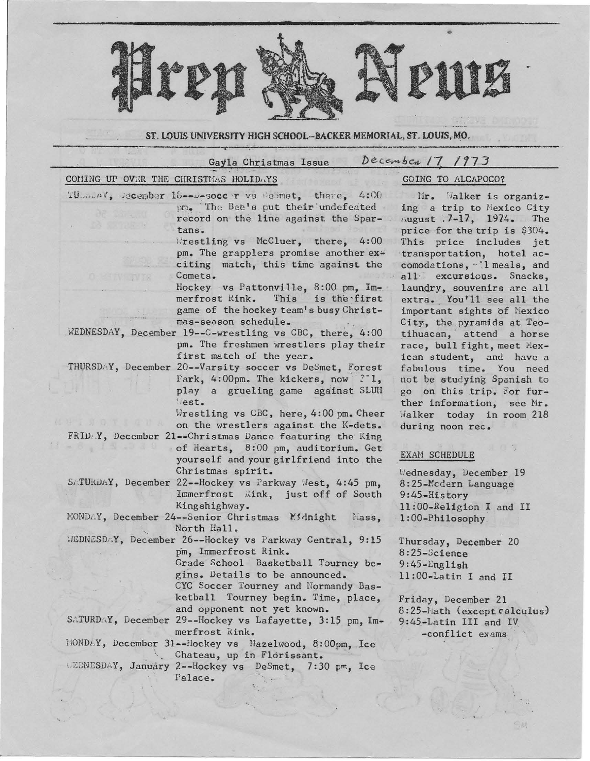

## ST. LOUIS UNIVERSITY HIGH SCHOOL-BACKER MEMORIAL, ST. LOUIS, MO.

| December 17, 1973<br>Gayla Christmas Issue           |                                                                                                                                                                                                                                                                                                                                                                                                                                                                                                                                                                        |                                                                                                                                                                                                                                                                                                                                                                                    |
|------------------------------------------------------|------------------------------------------------------------------------------------------------------------------------------------------------------------------------------------------------------------------------------------------------------------------------------------------------------------------------------------------------------------------------------------------------------------------------------------------------------------------------------------------------------------------------------------------------------------------------|------------------------------------------------------------------------------------------------------------------------------------------------------------------------------------------------------------------------------------------------------------------------------------------------------------------------------------------------------------------------------------|
|                                                      | COMING UP OVER THE CHRISTMAS HOLIDAYS                                                                                                                                                                                                                                                                                                                                                                                                                                                                                                                                  | GOING TO ALCAPOCO?                                                                                                                                                                                                                                                                                                                                                                 |
| <b>AT Albany</b><br><b>B. William X</b><br>n stry Wi | TU munV, Becember 18--D-socc r vs Besmet, there, 4:00<br>pm. The Bee's put their undefeated<br>record on the line against the Spar-<br>tans.<br>Wrestling vs McCluer, there, $4:00$<br>pm. The grapplers promise another ex-<br>citing match, this time against the<br>Comets.<br>Hockey vs Pattonville, 8:00 pm, Im-<br>merfrost Rink.<br>This<br>is the first<br>game of the hockey team's busy Christ-<br>mas-season schedule.<br>WEDNESDAY, December 19--C-wrestling vs CBC, there, 4:00                                                                           | Mr. Walker is organiz-<br>ing a trip to Mexico City<br>August .7-17, 1974. The<br>price for the trip is \$304.<br>This price includes jet<br>transportation, hotel ac-<br>comodations, "l meals, and<br>all excursions. Snacks,<br>laundry, souvenirs are all<br>extra. You'll see all the<br>important sights of Mexico<br>City, the pyramids at Teo-<br>tihuacan, attend a horse |
|                                                      | pm. The freshmen wrestlers play their<br>first match of the year.<br>THURSDAY, December 20--Varsity soccer vs DeSmet, Forest<br>Park, 4:00pm. The kickers, now $?1$ ,<br>play a grueling game against SLUH<br>lest.<br>Wrestling vs CBC, here, 4:00 pm. Cheer<br>on the wrestlers against the K-dets.<br>FRIDAY, December 21--Christmas Dance featuring the King<br>of Hearts, 8:00 pm, auditorium. Get<br>yourself and your girlfriend into the<br>Christmas spirit.<br>SATURDAY, December 22--Hockey vs Parkway West, 4:45 pm,<br>Immerfrost Kink, just off of South | race, bull fight, meet Mex-<br>ican student, and have a<br>fabulous time. You need<br>not be studying Spanish to<br>go on this trip. For fur-<br>ther information, see Mr.<br>Walker today in room 218<br>during noon rec.<br>EXAM SCHEDULE<br>Wednesday, December 19<br>8:25-Mcdern Language<br>9:45-History                                                                      |
|                                                      | Kingshighway.<br>MONDAY, December 24--Senior Christmas Midnight<br>liass,                                                                                                                                                                                                                                                                                                                                                                                                                                                                                              | 11:00-Religion I and II<br>$1:00$ -Philosophy                                                                                                                                                                                                                                                                                                                                      |
|                                                      | North Hall.<br>WEDNESDAY, December 26--Hockey vs Parkway Central, 9:15<br>pm, Immerfrost Rink.<br>Grade School Basketball Tourney be-<br>gins. Details to be announced.<br>CYC Soccer Tourney and Normandy Bas-<br>ketball<br>Tourney begin. Time, place,<br>and opponent not yet known.<br>SATURDAY, December 29--Hockey vs Lafayette, 3:15 pm, Im-<br>merfrost Rink.<br>MONDAY, December 31--Hockey vs Hazelwood, 8:00pm, Ice<br>Chateau, up in Florissant.<br>WEDNESDAY, January 2--Hockey vs DeSmet, 7:30 pm, Ice<br>Palace.                                       | Thursday, December 20<br>8:25-Science<br>$9:45$ -English<br>11:00-Latin I and II<br>Friday, December 21<br>8:25-Math (except calculus)<br>9:45-Latin III and IV<br>-conflict exams                                                                                                                                                                                                 |

 $-165$